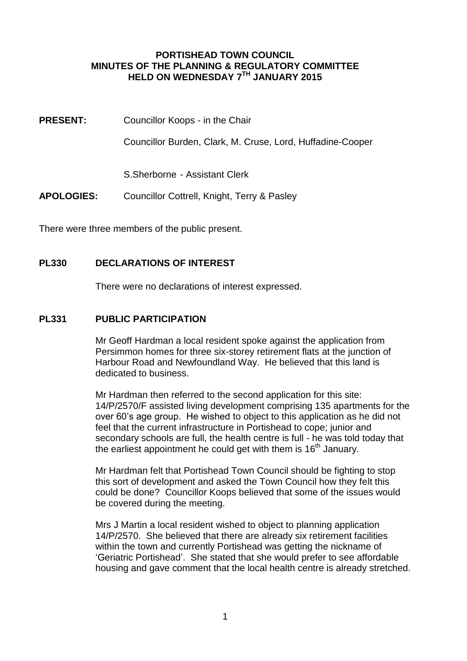#### **PORTISHEAD TOWN COUNCIL MINUTES OF THE PLANNING & REGULATORY COMMITTEE HELD ON WEDNESDAY 7TH JANUARY 2015**

**PRESENT:** Councillor Koops - in the Chair

Councillor Burden, Clark, M. Cruse, Lord, Huffadine-Cooper

S.Sherborne - Assistant Clerk

**APOLOGIES:** Councillor Cottrell, Knight, Terry & Pasley

There were three members of the public present.

#### **PL330 DECLARATIONS OF INTEREST**

There were no declarations of interest expressed.

#### **PL331 PUBLIC PARTICIPATION**

Mr Geoff Hardman a local resident spoke against the application from Persimmon homes for three six-storey retirement flats at the junction of Harbour Road and Newfoundland Way. He believed that this land is dedicated to business.

Mr Hardman then referred to the second application for this site: 14/P/2570/F assisted living development comprising 135 apartments for the over 60's age group. He wished to object to this application as he did not feel that the current infrastructure in Portishead to cope; junior and secondary schools are full, the health centre is full - he was told today that the earliest appointment he could get with them is  $16<sup>th</sup>$  January.

Mr Hardman felt that Portishead Town Council should be fighting to stop this sort of development and asked the Town Council how they felt this could be done? Councillor Koops believed that some of the issues would be covered during the meeting.

Mrs J Martin a local resident wished to object to planning application 14/P/2570. She believed that there are already six retirement facilities within the town and currently Portishead was getting the nickname of 'Geriatric Portishead'. She stated that she would prefer to see affordable housing and gave comment that the local health centre is already stretched.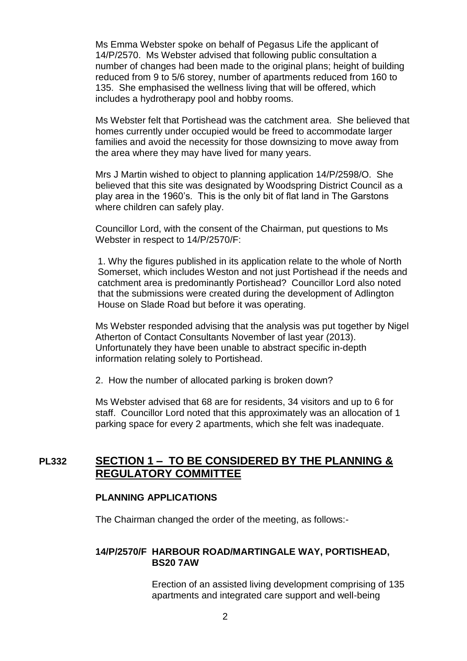Ms Emma Webster spoke on behalf of Pegasus Life the applicant of 14/P/2570. Ms Webster advised that following public consultation a number of changes had been made to the original plans; height of building reduced from 9 to 5/6 storey, number of apartments reduced from 160 to 135. She emphasised the wellness living that will be offered, which includes a hydrotherapy pool and hobby rooms.

Ms Webster felt that Portishead was the catchment area. She believed that homes currently under occupied would be freed to accommodate larger families and avoid the necessity for those downsizing to move away from the area where they may have lived for many years.

Mrs J Martin wished to object to planning application 14/P/2598/O. She believed that this site was designated by Woodspring District Council as a play area in the 1960's. This is the only bit of flat land in The Garstons where children can safely play.

Councillor Lord, with the consent of the Chairman, put questions to Ms Webster in respect to 14/P/2570/F:

1. Why the figures published in its application relate to the whole of North Somerset, which includes Weston and not just Portishead if the needs and catchment area is predominantly Portishead? Councillor Lord also noted that the submissions were created during the development of Adlington House on Slade Road but before it was operating.

Ms Webster responded advising that the analysis was put together by Nigel Atherton of Contact Consultants November of last year (2013). Unfortunately they have been unable to abstract specific in-depth information relating solely to Portishead.

2. How the number of allocated parking is broken down?

Ms Webster advised that 68 are for residents, 34 visitors and up to 6 for staff. Councillor Lord noted that this approximately was an allocation of 1 parking space for every 2 apartments, which she felt was inadequate.

## **PL332 SECTION 1 – TO BE CONSIDERED BY THE PLANNING & REGULATORY COMMITTEE**

#### **PLANNING APPLICATIONS**

The Chairman changed the order of the meeting, as follows:-

#### **14/P/2570/F HARBOUR ROAD/MARTINGALE WAY, PORTISHEAD, BS20 7AW**

Erection of an assisted living development comprising of 135 apartments and integrated care support and well-being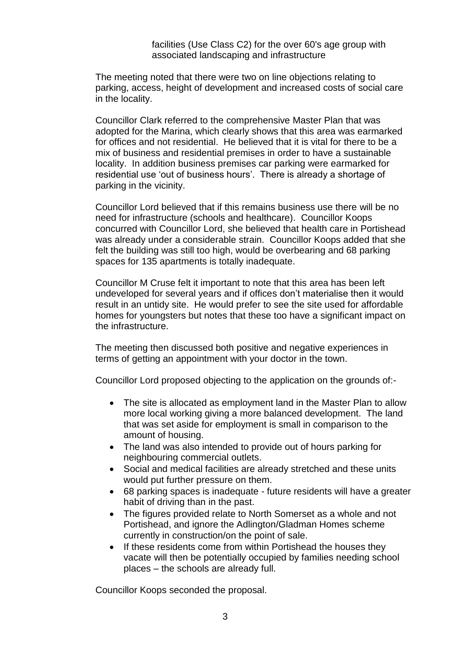facilities (Use Class C2) for the over 60's age group with associated landscaping and infrastructure

The meeting noted that there were two on line objections relating to parking, access, height of development and increased costs of social care in the locality.

Councillor Clark referred to the comprehensive Master Plan that was adopted for the Marina, which clearly shows that this area was earmarked for offices and not residential. He believed that it is vital for there to be a mix of business and residential premises in order to have a sustainable locality. In addition business premises car parking were earmarked for residential use 'out of business hours'. There is already a shortage of parking in the vicinity.

Councillor Lord believed that if this remains business use there will be no need for infrastructure (schools and healthcare). Councillor Koops concurred with Councillor Lord, she believed that health care in Portishead was already under a considerable strain. Councillor Koops added that she felt the building was still too high, would be overbearing and 68 parking spaces for 135 apartments is totally inadequate.

Councillor M Cruse felt it important to note that this area has been left undeveloped for several years and if offices don't materialise then it would result in an untidy site. He would prefer to see the site used for affordable homes for youngsters but notes that these too have a significant impact on the infrastructure.

The meeting then discussed both positive and negative experiences in terms of getting an appointment with your doctor in the town.

Councillor Lord proposed objecting to the application on the grounds of:-

- The site is allocated as employment land in the Master Plan to allow more local working giving a more balanced development. The land that was set aside for employment is small in comparison to the amount of housing.
- The land was also intended to provide out of hours parking for neighbouring commercial outlets.
- Social and medical facilities are already stretched and these units would put further pressure on them.
- 68 parking spaces is inadequate future residents will have a greater habit of driving than in the past.
- The figures provided relate to North Somerset as a whole and not Portishead, and ignore the Adlington/Gladman Homes scheme currently in construction/on the point of sale.
- If these residents come from within Portishead the houses they vacate will then be potentially occupied by families needing school places – the schools are already full.

Councillor Koops seconded the proposal.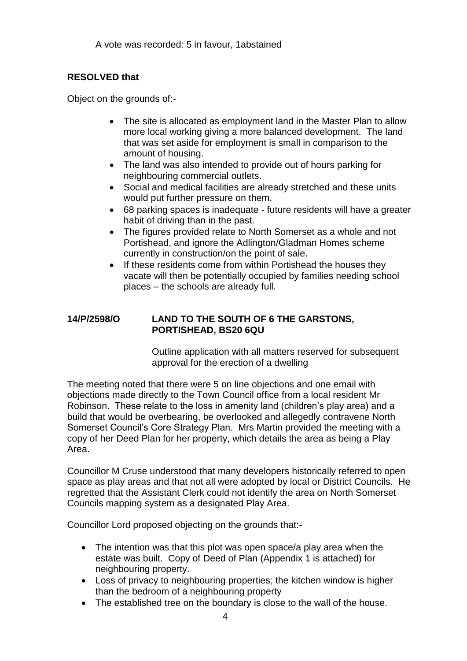## **RESOLVED that**

Object on the grounds of:-

- The site is allocated as employment land in the Master Plan to allow more local working giving a more balanced development. The land that was set aside for employment is small in comparison to the amount of housing.
- The land was also intended to provide out of hours parking for neighbouring commercial outlets.
- Social and medical facilities are already stretched and these units would put further pressure on them.
- 68 parking spaces is inadequate future residents will have a greater habit of driving than in the past.
- The figures provided relate to North Somerset as a whole and not Portishead, and ignore the Adlington/Gladman Homes scheme currently in construction/on the point of sale.
- If these residents come from within Portishead the houses they vacate will then be potentially occupied by families needing school places – the schools are already full.

#### **14/P/2598/O LAND TO THE SOUTH OF 6 THE GARSTONS, PORTISHEAD, BS20 6QU**

Outline application with all matters reserved for subsequent approval for the erection of a dwelling

The meeting noted that there were 5 on line objections and one email with objections made directly to the Town Council office from a local resident Mr Robinson. These relate to the loss in amenity land (children's play area) and a build that would be overbearing, be overlooked and allegedly contravene North Somerset Council's Core Strategy Plan. Mrs Martin provided the meeting with a copy of her Deed Plan for her property, which details the area as being a Play Area.

Councillor M Cruse understood that many developers historically referred to open space as play areas and that not all were adopted by local or District Councils. He regretted that the Assistant Clerk could not identify the area on North Somerset Councils mapping system as a designated Play Area.

Councillor Lord proposed objecting on the grounds that:-

- The intention was that this plot was open space/a play area when the estate was built. Copy of Deed of Plan (Appendix 1 is attached) for neighbouring property.
- Loss of privacy to neighbouring properties; the kitchen window is higher than the bedroom of a neighbouring property
- The established tree on the boundary is close to the wall of the house.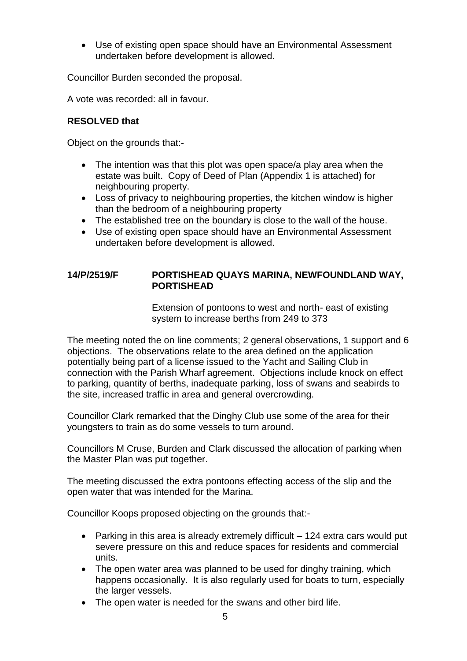Use of existing open space should have an Environmental Assessment undertaken before development is allowed.

Councillor Burden seconded the proposal.

A vote was recorded: all in favour.

#### **RESOLVED that**

Object on the grounds that:-

- The intention was that this plot was open space/a play area when the estate was built. Copy of Deed of Plan (Appendix 1 is attached) for neighbouring property.
- Loss of privacy to neighbouring properties, the kitchen window is higher than the bedroom of a neighbouring property
- The established tree on the boundary is close to the wall of the house.
- Use of existing open space should have an Environmental Assessment undertaken before development is allowed.

#### **14/P/2519/F PORTISHEAD QUAYS MARINA, NEWFOUNDLAND WAY, PORTISHEAD**

Extension of pontoons to west and north- east of existing system to increase berths from 249 to 373

The meeting noted the on line comments; 2 general observations, 1 support and 6 objections. The observations relate to the area defined on the application potentially being part of a license issued to the Yacht and Sailing Club in connection with the Parish Wharf agreement. Objections include knock on effect to parking, quantity of berths, inadequate parking, loss of swans and seabirds to the site, increased traffic in area and general overcrowding.

Councillor Clark remarked that the Dinghy Club use some of the area for their youngsters to train as do some vessels to turn around.

Councillors M Cruse, Burden and Clark discussed the allocation of parking when the Master Plan was put together.

The meeting discussed the extra pontoons effecting access of the slip and the open water that was intended for the Marina.

Councillor Koops proposed objecting on the grounds that:-

- Parking in this area is already extremely difficult 124 extra cars would put severe pressure on this and reduce spaces for residents and commercial units.
- The open water area was planned to be used for dinghy training, which happens occasionally. It is also regularly used for boats to turn, especially the larger vessels.
- The open water is needed for the swans and other bird life.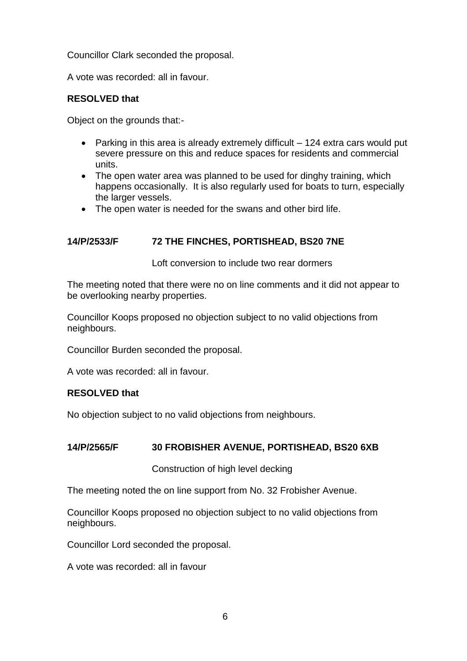Councillor Clark seconded the proposal.

A vote was recorded: all in favour.

#### **RESOLVED that**

Object on the grounds that:-

- Parking in this area is already extremely difficult 124 extra cars would put severe pressure on this and reduce spaces for residents and commercial units.
- The open water area was planned to be used for dinghy training, which happens occasionally. It is also regularly used for boats to turn, especially the larger vessels.
- The open water is needed for the swans and other bird life.

#### **14/P/2533/F 72 THE FINCHES, PORTISHEAD, BS20 7NE**

Loft conversion to include two rear dormers

The meeting noted that there were no on line comments and it did not appear to be overlooking nearby properties.

Councillor Koops proposed no objection subject to no valid objections from neighbours.

Councillor Burden seconded the proposal.

A vote was recorded: all in favour.

#### **RESOLVED that**

No objection subject to no valid objections from neighbours.

#### **14/P/2565/F 30 FROBISHER AVENUE, PORTISHEAD, BS20 6XB**

Construction of high level decking

The meeting noted the on line support from No. 32 Frobisher Avenue.

Councillor Koops proposed no objection subject to no valid objections from neighbours.

Councillor Lord seconded the proposal.

A vote was recorded: all in favour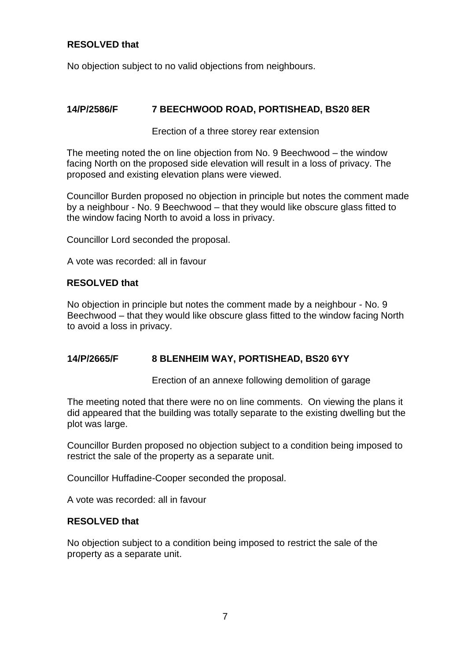#### **RESOLVED that**

No objection subject to no valid objections from neighbours.

#### **14/P/2586/F 7 BEECHWOOD ROAD, PORTISHEAD, BS20 8ER**

Erection of a three storey rear extension

The meeting noted the on line objection from No. 9 Beechwood – the window facing North on the proposed side elevation will result in a loss of privacy. The proposed and existing elevation plans were viewed.

Councillor Burden proposed no objection in principle but notes the comment made by a neighbour - No. 9 Beechwood – that they would like obscure glass fitted to the window facing North to avoid a loss in privacy.

Councillor Lord seconded the proposal.

A vote was recorded: all in favour

#### **RESOLVED that**

No objection in principle but notes the comment made by a neighbour - No. 9 Beechwood – that they would like obscure glass fitted to the window facing North to avoid a loss in privacy.

#### **14/P/2665/F 8 BLENHEIM WAY, PORTISHEAD, BS20 6YY**

Erection of an annexe following demolition of garage

The meeting noted that there were no on line comments. On viewing the plans it did appeared that the building was totally separate to the existing dwelling but the plot was large.

Councillor Burden proposed no objection subject to a condition being imposed to restrict the sale of the property as a separate unit.

Councillor Huffadine-Cooper seconded the proposal.

A vote was recorded: all in favour

#### **RESOLVED that**

No objection subject to a condition being imposed to restrict the sale of the property as a separate unit.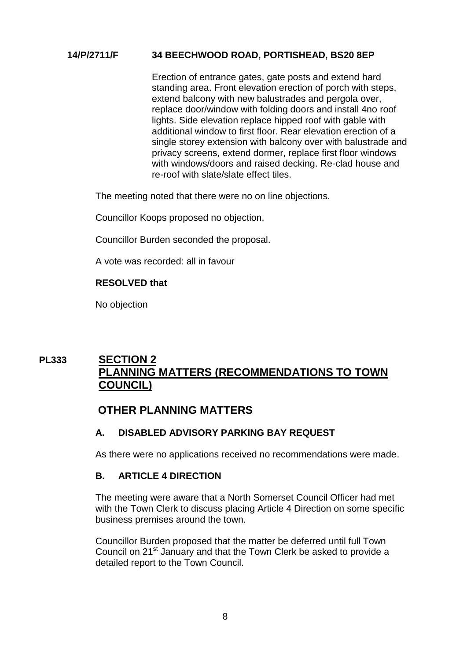#### **14/P/2711/F 34 BEECHWOOD ROAD, PORTISHEAD, BS20 8EP**

Erection of entrance gates, gate posts and extend hard standing area. Front elevation erection of porch with steps, extend balcony with new balustrades and pergola over, replace door/window with folding doors and install 4no roof lights. Side elevation replace hipped roof with gable with additional window to first floor. Rear elevation erection of a single storey extension with balcony over with balustrade and privacy screens, extend dormer, replace first floor windows with windows/doors and raised decking. Re-clad house and re-roof with slate/slate effect tiles.

The meeting noted that there were no on line objections.

Councillor Koops proposed no objection.

Councillor Burden seconded the proposal.

A vote was recorded: all in favour

#### **RESOLVED that**

No objection

# **PL333 SECTION 2 PLANNING MATTERS (RECOMMENDATIONS TO TOWN COUNCIL)**

## **OTHER PLANNING MATTERS**

## **A. DISABLED ADVISORY PARKING BAY REQUEST**

As there were no applications received no recommendations were made.

#### **B. ARTICLE 4 DIRECTION**

The meeting were aware that a North Somerset Council Officer had met with the Town Clerk to discuss placing Article 4 Direction on some specific business premises around the town.

Councillor Burden proposed that the matter be deferred until full Town Council on 21<sup>st</sup> January and that the Town Clerk be asked to provide a detailed report to the Town Council.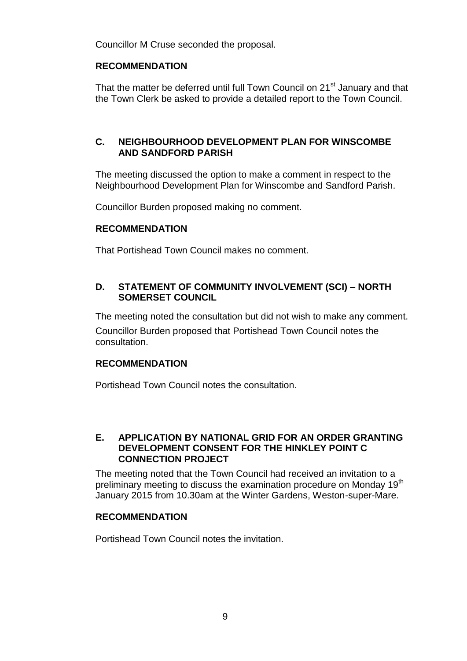Councillor M Cruse seconded the proposal.

## **RECOMMENDATION**

That the matter be deferred until full Town Council on 21<sup>st</sup> January and that the Town Clerk be asked to provide a detailed report to the Town Council.

#### **C. NEIGHBOURHOOD DEVELOPMENT PLAN FOR WINSCOMBE AND SANDFORD PARISH**

The meeting discussed the option to make a comment in respect to the Neighbourhood Development Plan for Winscombe and Sandford Parish.

Councillor Burden proposed making no comment.

## **RECOMMENDATION**

That Portishead Town Council makes no comment.

## **D. STATEMENT OF COMMUNITY INVOLVEMENT (SCI) – NORTH SOMERSET COUNCIL**

The meeting noted the consultation but did not wish to make any comment.

Councillor Burden proposed that Portishead Town Council notes the consultation.

## **RECOMMENDATION**

Portishead Town Council notes the consultation.

#### **E. APPLICATION BY NATIONAL GRID FOR AN ORDER GRANTING DEVELOPMENT CONSENT FOR THE HINKLEY POINT C CONNECTION PROJECT**

The meeting noted that the Town Council had received an invitation to a preliminary meeting to discuss the examination procedure on Monday 19<sup>th</sup> January 2015 from 10.30am at the Winter Gardens, Weston-super-Mare.

## **RECOMMENDATION**

Portishead Town Council notes the invitation.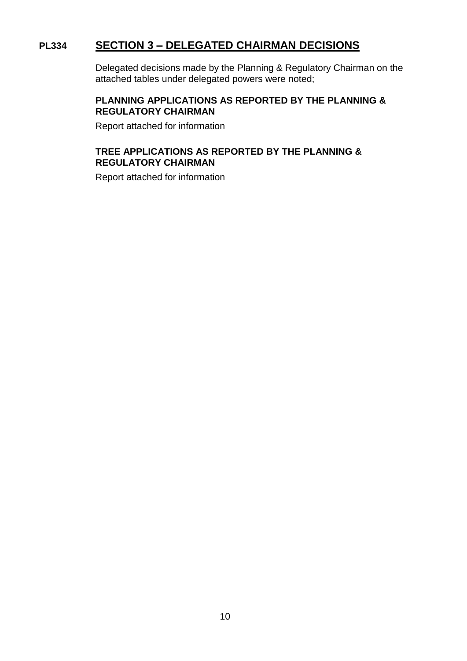## **PL334 SECTION 3 – DELEGATED CHAIRMAN DECISIONS**

Delegated decisions made by the Planning & Regulatory Chairman on the attached tables under delegated powers were noted;

## **PLANNING APPLICATIONS AS REPORTED BY THE PLANNING & REGULATORY CHAIRMAN**

Report attached for information

## **TREE APPLICATIONS AS REPORTED BY THE PLANNING & REGULATORY CHAIRMAN**

Report attached for information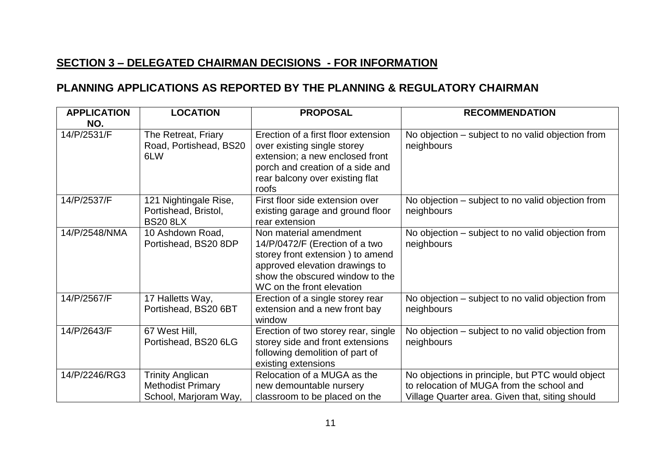# **SECTION 3 – DELEGATED CHAIRMAN DECISIONS - FOR INFORMATION**

# **PLANNING APPLICATIONS AS REPORTED BY THE PLANNING & REGULATORY CHAIRMAN**

| <b>APPLICATION</b><br>NO. | <b>LOCATION</b>                                                              | <b>PROPOSAL</b>                                                                                                                                                                                | <b>RECOMMENDATION</b>                                                                                                                            |
|---------------------------|------------------------------------------------------------------------------|------------------------------------------------------------------------------------------------------------------------------------------------------------------------------------------------|--------------------------------------------------------------------------------------------------------------------------------------------------|
| 14/P/2531/F               | The Retreat, Friary<br>Road, Portishead, BS20<br>6LW                         | Erection of a first floor extension<br>over existing single storey<br>extension; a new enclosed front<br>porch and creation of a side and<br>rear balcony over existing flat<br>roofs          | No objection - subject to no valid objection from<br>neighbours                                                                                  |
| 14/P/2537/F               | 121 Nightingale Rise,<br>Portishead, Bristol,<br><b>BS20 8LX</b>             | First floor side extension over<br>existing garage and ground floor<br>rear extension                                                                                                          | No objection - subject to no valid objection from<br>neighbours                                                                                  |
| 14/P/2548/NMA             | 10 Ashdown Road,<br>Portishead, BS20 8DP                                     | Non material amendment<br>14/P/0472/F (Erection of a two<br>storey front extension) to amend<br>approved elevation drawings to<br>show the obscured window to the<br>WC on the front elevation | No objection – subject to no valid objection from<br>neighbours                                                                                  |
| 14/P/2567/F               | 17 Halletts Way,<br>Portishead, BS20 6BT                                     | Erection of a single storey rear<br>extension and a new front bay<br>window                                                                                                                    | No objection - subject to no valid objection from<br>neighbours                                                                                  |
| 14/P/2643/F               | 67 West Hill,<br>Portishead, BS20 6LG                                        | Erection of two storey rear, single<br>storey side and front extensions<br>following demolition of part of<br>existing extensions                                                              | No objection – subject to no valid objection from<br>neighbours                                                                                  |
| 14/P/2246/RG3             | <b>Trinity Anglican</b><br><b>Methodist Primary</b><br>School, Marjoram Way, | Relocation of a MUGA as the<br>new demountable nursery<br>classroom to be placed on the                                                                                                        | No objections in principle, but PTC would object<br>to relocation of MUGA from the school and<br>Village Quarter area. Given that, siting should |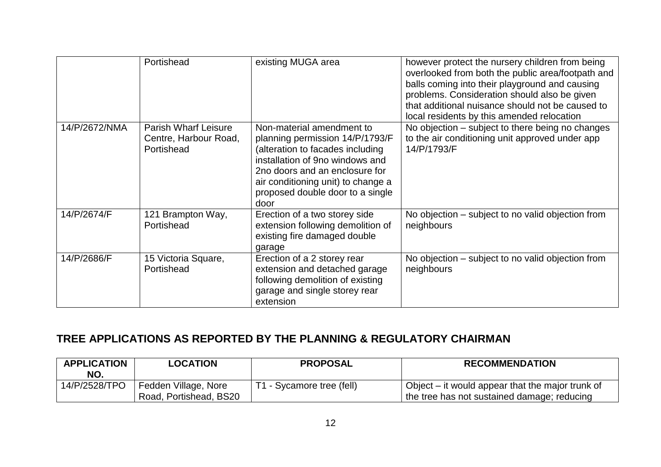|               | Portishead                                                         | existing MUGA area                                                                                                                                                                                                                                      | however protect the nursery children from being<br>overlooked from both the public area/footpath and<br>balls coming into their playground and causing<br>problems. Consideration should also be given<br>that additional nuisance should not be caused to<br>local residents by this amended relocation |
|---------------|--------------------------------------------------------------------|---------------------------------------------------------------------------------------------------------------------------------------------------------------------------------------------------------------------------------------------------------|----------------------------------------------------------------------------------------------------------------------------------------------------------------------------------------------------------------------------------------------------------------------------------------------------------|
| 14/P/2672/NMA | <b>Parish Wharf Leisure</b><br>Centre, Harbour Road,<br>Portishead | Non-material amendment to<br>planning permission 14/P/1793/F<br>(alteration to facades including<br>installation of 9no windows and<br>2no doors and an enclosure for<br>air conditioning unit) to change a<br>proposed double door to a single<br>door | No objection – subject to there being no changes<br>to the air conditioning unit approved under app<br>14/P/1793/F                                                                                                                                                                                       |
| 14/P/2674/F   | 121 Brampton Way,<br>Portishead                                    | Erection of a two storey side<br>extension following demolition of<br>existing fire damaged double<br>garage                                                                                                                                            | No objection – subject to no valid objection from<br>neighbours                                                                                                                                                                                                                                          |
| 14/P/2686/F   | 15 Victoria Square,<br>Portishead                                  | Erection of a 2 storey rear<br>extension and detached garage<br>following demolition of existing<br>garage and single storey rear<br>extension                                                                                                          | No objection – subject to no valid objection from<br>neighbours                                                                                                                                                                                                                                          |

# **TREE APPLICATIONS AS REPORTED BY THE PLANNING & REGULATORY CHAIRMAN**

| <b>APPLICATION</b><br>NO. | <b>LOCATION</b>                                | <b>PROPOSAL</b>           | <b>RECOMMENDATION</b>                                                                           |
|---------------------------|------------------------------------------------|---------------------------|-------------------------------------------------------------------------------------------------|
| 14/P/2528/TPO             | Fedden Village, Nore<br>Road, Portishead, BS20 | T1 - Sycamore tree (fell) | Object – it would appear that the major trunk of<br>the tree has not sustained damage; reducing |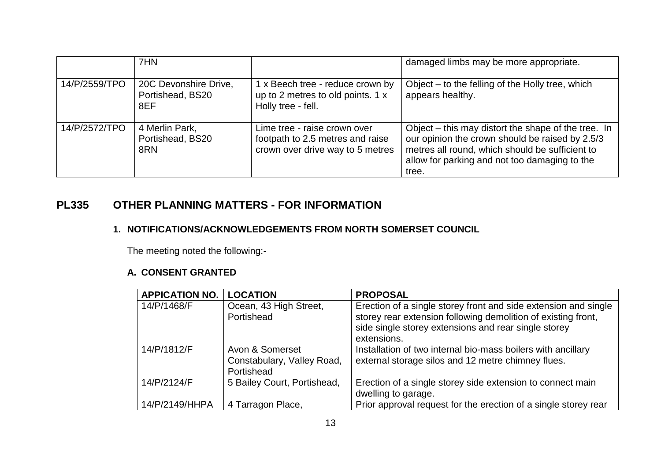|               | 7HN                                              |                                                                                                      | damaged limbs may be more appropriate.                                                                                                                                                                              |
|---------------|--------------------------------------------------|------------------------------------------------------------------------------------------------------|---------------------------------------------------------------------------------------------------------------------------------------------------------------------------------------------------------------------|
| 14/P/2559/TPO | 20C Devonshire Drive,<br>Portishead, BS20<br>8EF | x Beech tree - reduce crown by<br>up to 2 metres to old points. 1 x<br>Holly tree - fell.            | Object – to the felling of the Holly tree, which<br>appears healthy.                                                                                                                                                |
| 14/P/2572/TPO | 4 Merlin Park,<br>Portishead, BS20<br>8RN        | Lime tree - raise crown over<br>footpath to 2.5 metres and raise<br>crown over drive way to 5 metres | Object – this may distort the shape of the tree. In<br>our opinion the crown should be raised by 2.5/3<br>metres all round, which should be sufficient to<br>allow for parking and not too damaging to the<br>tree. |

# **PL335 OTHER PLANNING MATTERS - FOR INFORMATION**

#### **1. NOTIFICATIONS/ACKNOWLEDGEMENTS FROM NORTH SOMERSET COUNCIL**

The meeting noted the following:-

## **A. CONSENT GRANTED**

| <b>APPICATION NO.</b> | <b>LOCATION</b>                                             | <b>PROPOSAL</b>                                                                                                                                                                                         |
|-----------------------|-------------------------------------------------------------|---------------------------------------------------------------------------------------------------------------------------------------------------------------------------------------------------------|
| 14/P/1468/F           | Ocean, 43 High Street,<br>Portishead                        | Erection of a single storey front and side extension and single<br>storey rear extension following demolition of existing front,<br>side single storey extensions and rear single storey<br>extensions. |
| 14/P/1812/F           | Avon & Somerset<br>Constabulary, Valley Road,<br>Portishead | Installation of two internal bio-mass boilers with ancillary<br>external storage silos and 12 metre chimney flues.                                                                                      |
| 14/P/2124/F           | 5 Bailey Court, Portishead,                                 | Erection of a single storey side extension to connect main<br>dwelling to garage.                                                                                                                       |
| 14/P/2149/HHPA        | 4 Tarragon Place,                                           | Prior approval request for the erection of a single storey rear                                                                                                                                         |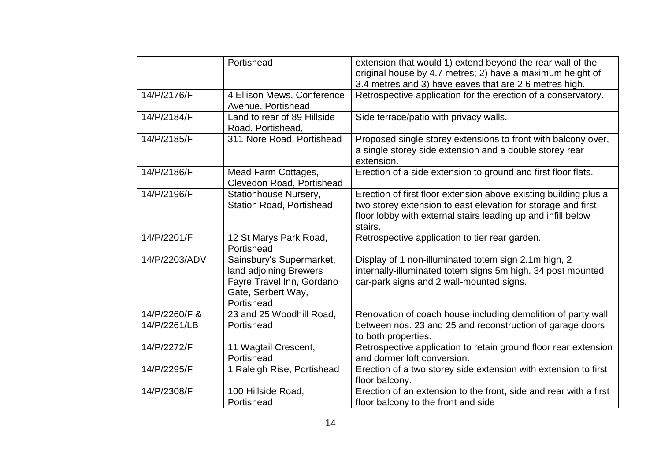|               | Portishead                      | extension that would 1) extend beyond the rear wall of the        |
|---------------|---------------------------------|-------------------------------------------------------------------|
|               |                                 | original house by 4.7 metres; 2) have a maximum height of         |
|               |                                 | 3.4 metres and 3) have eaves that are 2.6 metres high.            |
| 14/P/2176/F   | 4 Ellison Mews, Conference      | Retrospective application for the erection of a conservatory.     |
|               | Avenue, Portishead              |                                                                   |
| 14/P/2184/F   | Land to rear of 89 Hillside     | Side terrace/patio with privacy walls.                            |
|               | Road, Portishead,               |                                                                   |
| 14/P/2185/F   | 311 Nore Road, Portishead       | Proposed single storey extensions to front with balcony over,     |
|               |                                 | a single storey side extension and a double storey rear           |
|               |                                 | extension.                                                        |
| 14/P/2186/F   | Mead Farm Cottages,             | Erection of a side extension to ground and first floor flats.     |
|               | Clevedon Road, Portishead       |                                                                   |
| 14/P/2196/F   | <b>Stationhouse Nursery,</b>    | Erection of first floor extension above existing building plus a  |
|               | <b>Station Road, Portishead</b> | two storey extension to east elevation for storage and first      |
|               |                                 | floor lobby with external stairs leading up and infill below      |
|               |                                 | stairs.                                                           |
| 14/P/2201/F   | 12 St Marys Park Road,          | Retrospective application to tier rear garden.                    |
|               | Portishead                      |                                                                   |
| 14/P/2203/ADV | Sainsbury's Supermarket,        | Display of 1 non-illuminated totem sign 2.1m high, 2              |
|               | land adjoining Brewers          | internally-illuminated totem signs 5m high, 34 post mounted       |
|               | Fayre Travel Inn, Gordano       | car-park signs and 2 wall-mounted signs.                          |
|               | Gate, Serbert Way,              |                                                                   |
|               | Portishead                      |                                                                   |
| 14/P/2260/F & | 23 and 25 Woodhill Road,        | Renovation of coach house including demolition of party wall      |
| 14/P/2261/LB  | Portishead                      | between nos. 23 and 25 and reconstruction of garage doors         |
|               |                                 | to both properties.                                               |
| 14/P/2272/F   | 11 Wagtail Crescent,            | Retrospective application to retain ground floor rear extension   |
|               | Portishead                      | and dormer loft conversion.                                       |
| 14/P/2295/F   | 1 Raleigh Rise, Portishead      | Erection of a two storey side extension with extension to first   |
|               |                                 | floor balcony.                                                    |
| 14/P/2308/F   | 100 Hillside Road,              | Erection of an extension to the front, side and rear with a first |
|               | Portishead                      | floor balcony to the front and side                               |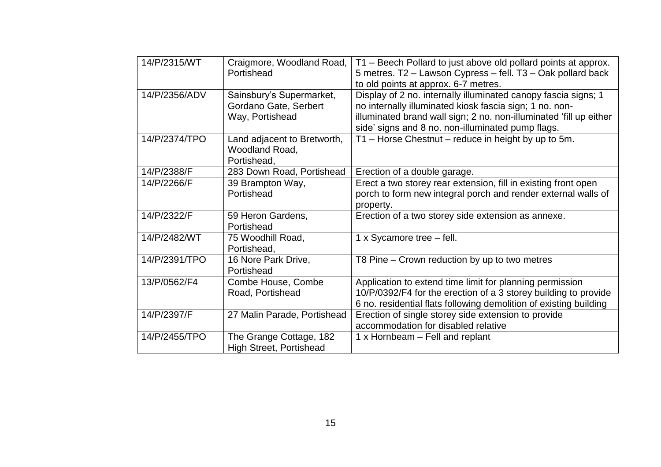| 14/P/2315/WT  | Craigmore, Woodland Road,      | T1 – Beech Pollard to just above old pollard points at approx.     |
|---------------|--------------------------------|--------------------------------------------------------------------|
|               | Portishead                     | 5 metres. T2 - Lawson Cypress - fell. T3 - Oak pollard back        |
|               |                                | to old points at approx. 6-7 metres.                               |
| 14/P/2356/ADV | Sainsbury's Supermarket,       | Display of 2 no. internally illuminated canopy fascia signs; 1     |
|               | Gordano Gate, Serbert          | no internally illuminated kiosk fascia sign; 1 no. non-            |
|               | Way, Portishead                | illuminated brand wall sign; 2 no. non-illuminated 'fill up either |
|               |                                | side' signs and 8 no. non-illuminated pump flags.                  |
| 14/P/2374/TPO | Land adjacent to Bretworth,    | T1 – Horse Chestnut – reduce in height by up to 5m.                |
|               | Woodland Road,                 |                                                                    |
|               | Portishead,                    |                                                                    |
| 14/P/2388/F   | 283 Down Road, Portishead      | Erection of a double garage.                                       |
| 14/P/2266/F   | 39 Brampton Way,               | Erect a two storey rear extension, fill in existing front open     |
|               | Portishead                     | porch to form new integral porch and render external walls of      |
|               |                                | property.                                                          |
| 14/P/2322/F   | 59 Heron Gardens,              | Erection of a two storey side extension as annexe.                 |
|               | Portishead                     |                                                                    |
| 14/P/2482/WT  | 75 Woodhill Road,              | 1 x Sycamore tree - fell.                                          |
|               | Portishead,                    |                                                                    |
| 14/P/2391/TPO | 16 Nore Park Drive,            | T8 Pine - Crown reduction by up to two metres                      |
|               | Portishead                     |                                                                    |
| 13/P/0562/F4  | Combe House, Combe             | Application to extend time limit for planning permission           |
|               | Road, Portishead               | 10/P/0392/F4 for the erection of a 3 storey building to provide    |
|               |                                | 6 no. residential flats following demolition of existing building  |
| 14/P/2397/F   | 27 Malin Parade, Portishead    | Erection of single storey side extension to provide                |
|               |                                | accommodation for disabled relative                                |
| 14/P/2455/TPO | The Grange Cottage, 182        | 1 x Hornbeam – Fell and replant                                    |
|               | <b>High Street, Portishead</b> |                                                                    |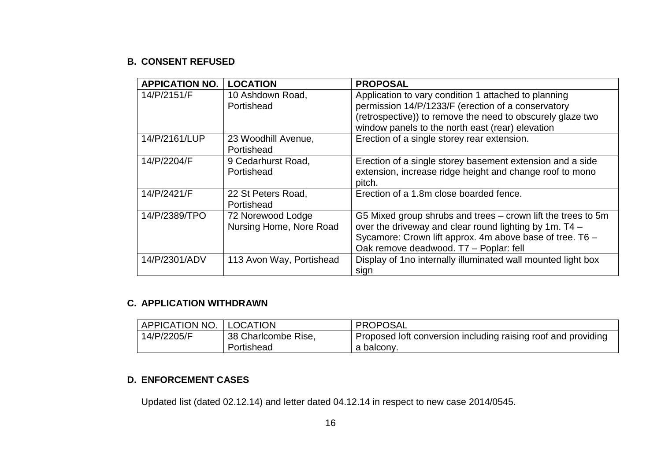#### **B. CONSENT REFUSED**

| <b>APPICATION NO.</b> | <b>LOCATION</b>                              | <b>PROPOSAL</b>                                                                                                                                                                                                                  |
|-----------------------|----------------------------------------------|----------------------------------------------------------------------------------------------------------------------------------------------------------------------------------------------------------------------------------|
| 14/P/2151/F           | 10 Ashdown Road,<br>Portishead               | Application to vary condition 1 attached to planning<br>permission 14/P/1233/F (erection of a conservatory<br>(retrospective)) to remove the need to obscurely glaze two<br>window panels to the north east (rear) elevation     |
| 14/P/2161/LUP         | 23 Woodhill Avenue,<br>Portishead            | Erection of a single storey rear extension.                                                                                                                                                                                      |
| 14/P/2204/F           | 9 Cedarhurst Road,<br>Portishead             | Erection of a single storey basement extension and a side<br>extension, increase ridge height and change roof to mono<br>pitch.                                                                                                  |
| 14/P/2421/F           | 22 St Peters Road,<br>Portishead             | Erection of a 1.8m close boarded fence.                                                                                                                                                                                          |
| 14/P/2389/TPO         | 72 Norewood Lodge<br>Nursing Home, Nore Road | G5 Mixed group shrubs and trees - crown lift the trees to 5m<br>over the driveway and clear round lighting by 1m. $T4 - T$<br>Sycamore: Crown lift approx. 4m above base of tree. T6 -<br>Oak remove deadwood. T7 - Poplar: fell |
| 14/P/2301/ADV         | 113 Avon Way, Portishead                     | Display of 1no internally illuminated wall mounted light box<br>sign                                                                                                                                                             |

## **C. APPLICATION WITHDRAWN**

| APPICATION NO. | <b>LOCATION</b>     | PROPOSAL                                                                                                                  |
|----------------|---------------------|---------------------------------------------------------------------------------------------------------------------------|
| 14/P/2205/F    | 38 Charlcombe Rise, | $\overline{\phantom{\alpha}}$ Proposed loft conversion including raising roof and providing $\overline{\phantom{\alpha}}$ |
|                | Portishead          | a balcony.                                                                                                                |

## **D. ENFORCEMENT CASES**

Updated list (dated 02.12.14) and letter dated 04.12.14 in respect to new case 2014/0545.